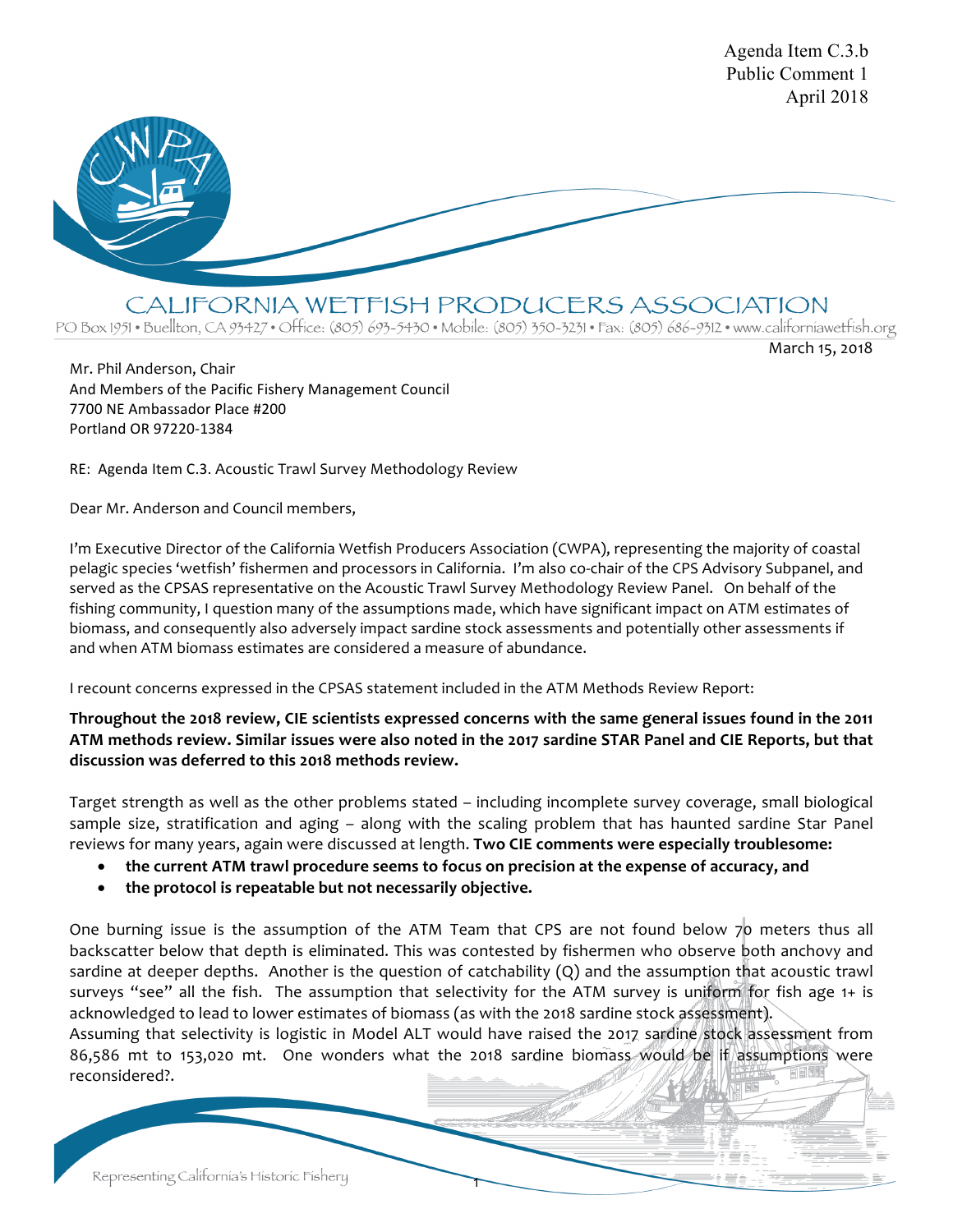

CALIFORNIA WETFISH PRODUCERS ASSOCIATION

PO Box 1951 • Buellton, CA 93427 • Office: (805) 693-5430 • Mobile: (805) 350-3231 • Fax: (805) 686-9312 • www.californiawetfish.org

March 15, 2018

Agenda Item C.3.b

Mr. Phil Anderson, Chair And Members of the Pacific Fishery Management Council 7700 NE Ambassador Place #200 Portland OR 97220-1384

RE: Agenda Item C.3. Acoustic Trawl Survey Methodology Review

Dear Mr. Anderson and Council members,

I'm Executive Director of the California Wetfish Producers Association (CWPA), representing the majority of coastal pelagic species 'wetfish' fishermen and processors in California. I'm also co-chair of the CPS Advisory Subpanel, and served as the CPSAS representative on the Acoustic Trawl Survey Methodology Review Panel. On behalf of the fishing community, I question many of the assumptions made, which have significant impact on ATM estimates of biomass, and consequently also adversely impact sardine stock assessments and potentially other assessments if and when ATM biomass estimates are considered a measure of abundance.

I recount concerns expressed in the CPSAS statement included in the ATM Methods Review Report:

**Throughout the 2018 review, CIE scientists expressed concerns with the same general issues found in the 2011 ATM methods review. Similar issues were also noted in the 2017 sardine STAR Panel and CIE Reports, but that discussion was deferred to this 2018 methods review.** 

Target strength as well as the other problems stated – including incomplete survey coverage, small biological sample size, stratification and aging – along with the scaling problem that has haunted sardine Star Panel reviews for many years, again were discussed at length. **Two CIE comments were especially troublesome:** 

- **the current ATM trawl procedure seems to focus on precision at the expense of accuracy, and**
- **the protocol is repeatable but not necessarily objective.**

One burning issue is the assumption of the ATM Team that CPS are not found below 70 meters thus all backscatter below that depth is eliminated. This was contested by fishermen who observe both anchovy and sardine at deeper depths. Another is the question of catchability (Q) and the assumption that acoustic trawl surveys "see" all the fish. The assumption that selectivity for the ATM survey is uniform for fish age 1+ is acknowledged to lead to lower estimates of biomass (as with the 2018 sardine stock assessment). Assuming that selectivity is logistic in Model ALT would have raised the 2017 sardine stock assessment from 86,586 mt to 153,020 mt. One wonders what the 2018 sardine biomass would be if assumptions were

1

Representing California's Historic Fishery

reconsidered?.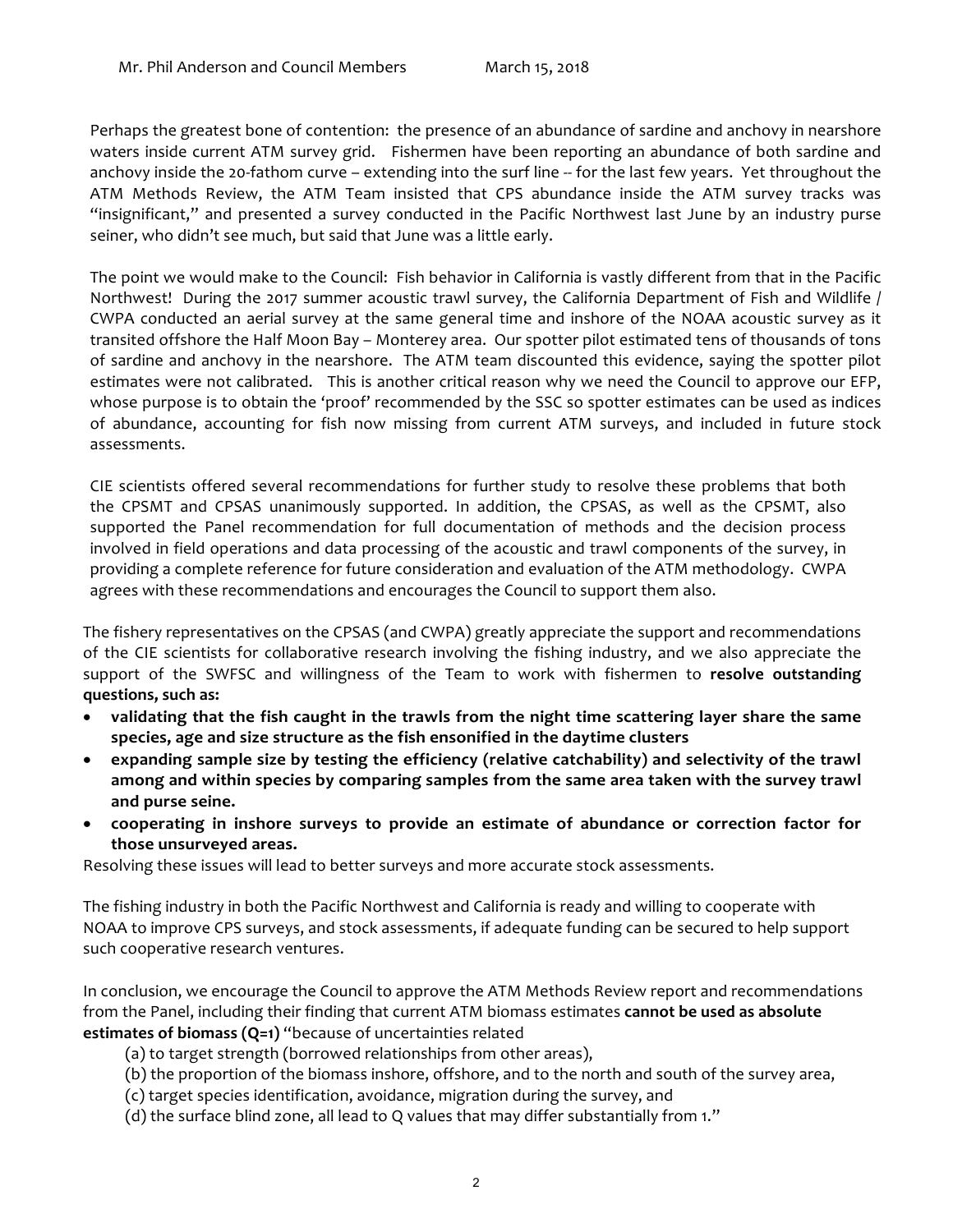Perhaps the greatest bone of contention: the presence of an abundance of sardine and anchovy in nearshore waters inside current ATM survey grid. Fishermen have been reporting an abundance of both sardine and anchovy inside the 20-fathom curve – extending into the surf line -- for the last few years. Yet throughout the ATM Methods Review, the ATM Team insisted that CPS abundance inside the ATM survey tracks was "insignificant," and presented a survey conducted in the Pacific Northwest last June by an industry purse seiner, who didn't see much, but said that June was a little early.

The point we would make to the Council: Fish behavior in California is vastly different from that in the Pacific Northwest! During the 2017 summer acoustic trawl survey, the California Department of Fish and Wildlife / CWPA conducted an aerial survey at the same general time and inshore of the NOAA acoustic survey as it transited offshore the Half Moon Bay – Monterey area. Our spotter pilot estimated tens of thousands of tons of sardine and anchovy in the nearshore. The ATM team discounted this evidence, saying the spotter pilot estimates were not calibrated. This is another critical reason why we need the Council to approve our EFP, whose purpose is to obtain the 'proof' recommended by the SSC so spotter estimates can be used as indices of abundance, accounting for fish now missing from current ATM surveys, and included in future stock assessments.

CIE scientists offered several recommendations for further study to resolve these problems that both the CPSMT and CPSAS unanimously supported. In addition, the CPSAS, as well as the CPSMT, also supported the Panel recommendation for full documentation of methods and the decision process involved in field operations and data processing of the acoustic and trawl components of the survey, in providing a complete reference for future consideration and evaluation of the ATM methodology. CWPA agrees with these recommendations and encourages the Council to support them also.

The fishery representatives on the CPSAS (and CWPA) greatly appreciate the support and recommendations of the CIE scientists for collaborative research involving the fishing industry, and we also appreciate the support of the SWFSC and willingness of the Team to work with fishermen to **resolve outstanding questions, such as:** 

- **validating that the fish caught in the trawls from the night time scattering layer share the same species, age and size structure as the fish ensonified in the daytime clusters**
- **expanding sample size by testing the efficiency (relative catchability) and selectivity of the trawl among and within species by comparing samples from the same area taken with the survey trawl and purse seine.**
- **cooperating in inshore surveys to provide an estimate of abundance or correction factor for those unsurveyed areas.**

Resolving these issues will lead to better surveys and more accurate stock assessments.

The fishing industry in both the Pacific Northwest and California is ready and willing to cooperate with NOAA to improve CPS surveys, and stock assessments, if adequate funding can be secured to help support such cooperative research ventures.

In conclusion, we encourage the Council to approve the ATM Methods Review report and recommendations from the Panel, including their finding that current ATM biomass estimates **cannot be used as absolute estimates of biomass (Q=1)** "because of uncertainties related

- (a) to target strength (borrowed relationships from other areas),
- (b) the proportion of the biomass inshore, offshore, and to the north and south of the survey area,
- (c) target species identification, avoidance, migration during the survey, and
- (d) the surface blind zone, all lead to Q values that may differ substantially from 1."